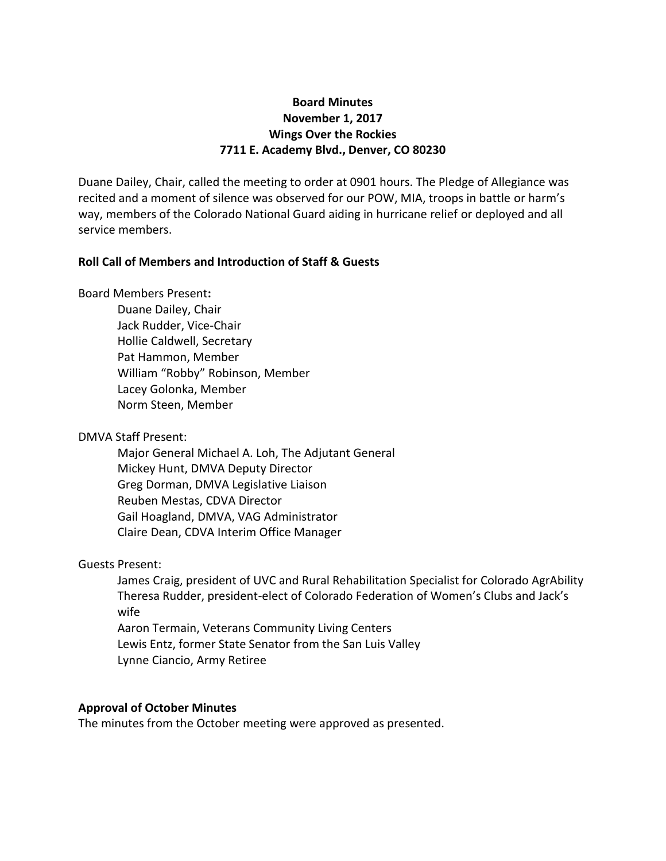# **Board Minutes November 1, 2017 Wings Over the Rockies 7711 E. Academy Blvd., Denver, CO 80230**

Duane Dailey, Chair, called the meeting to order at 0901 hours. The Pledge of Allegiance was recited and a moment of silence was observed for our POW, MIA, troops in battle or harm's way, members of the Colorado National Guard aiding in hurricane relief or deployed and all service members.

### **Roll Call of Members and Introduction of Staff & Guests**

Board Members Present**:**

Duane Dailey, Chair Jack Rudder, Vice-Chair Hollie Caldwell, Secretary Pat Hammon, Member William "Robby" Robinson, Member Lacey Golonka, Member Norm Steen, Member

## DMVA Staff Present:

Major General Michael A. Loh, The Adjutant General Mickey Hunt, DMVA Deputy Director Greg Dorman, DMVA Legislative Liaison Reuben Mestas, CDVA Director Gail Hoagland, DMVA, VAG Administrator Claire Dean, CDVA Interim Office Manager

## Guests Present:

James Craig, president of UVC and Rural Rehabilitation Specialist for Colorado AgrAbility Theresa Rudder, president-elect of Colorado Federation of Women's Clubs and Jack's wife Aaron Termain, Veterans Community Living Centers Lewis Entz, former State Senator from the San Luis Valley Lynne Ciancio, Army Retiree

## **Approval of October Minutes**

The minutes from the October meeting were approved as presented.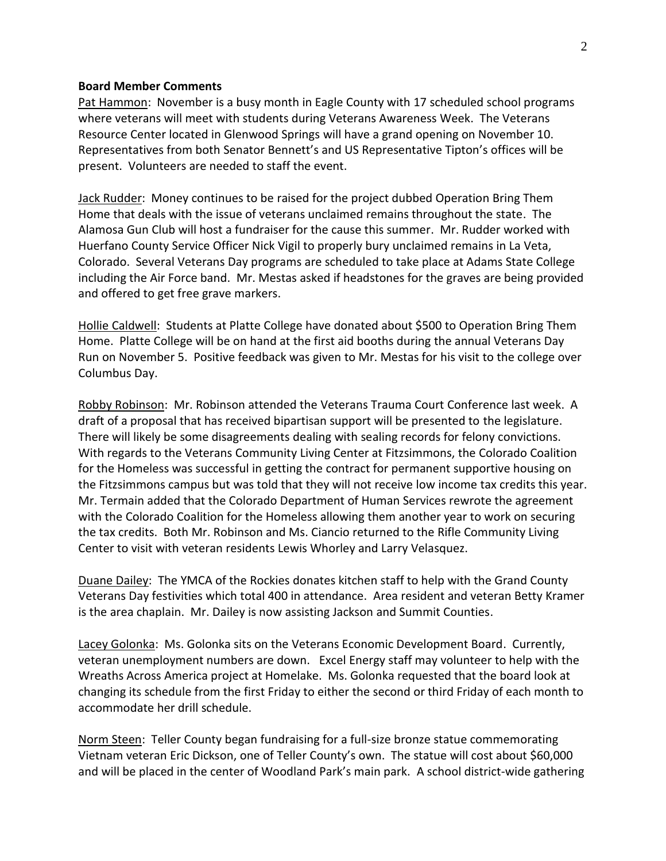#### **Board Member Comments**

Pat Hammon: November is a busy month in Eagle County with 17 scheduled school programs where veterans will meet with students during Veterans Awareness Week. The Veterans Resource Center located in Glenwood Springs will have a grand opening on November 10. Representatives from both Senator Bennett's and US Representative Tipton's offices will be present. Volunteers are needed to staff the event.

Jack Rudder: Money continues to be raised for the project dubbed Operation Bring Them Home that deals with the issue of veterans unclaimed remains throughout the state. The Alamosa Gun Club will host a fundraiser for the cause this summer. Mr. Rudder worked with Huerfano County Service Officer Nick Vigil to properly bury unclaimed remains in La Veta, Colorado. Several Veterans Day programs are scheduled to take place at Adams State College including the Air Force band. Mr. Mestas asked if headstones for the graves are being provided and offered to get free grave markers.

Hollie Caldwell: Students at Platte College have donated about \$500 to Operation Bring Them Home. Platte College will be on hand at the first aid booths during the annual Veterans Day Run on November 5. Positive feedback was given to Mr. Mestas for his visit to the college over Columbus Day.

Robby Robinson: Mr. Robinson attended the Veterans Trauma Court Conference last week. A draft of a proposal that has received bipartisan support will be presented to the legislature. There will likely be some disagreements dealing with sealing records for felony convictions. With regards to the Veterans Community Living Center at Fitzsimmons, the Colorado Coalition for the Homeless was successful in getting the contract for permanent supportive housing on the Fitzsimmons campus but was told that they will not receive low income tax credits this year. Mr. Termain added that the Colorado Department of Human Services rewrote the agreement with the Colorado Coalition for the Homeless allowing them another year to work on securing the tax credits. Both Mr. Robinson and Ms. Ciancio returned to the Rifle Community Living Center to visit with veteran residents Lewis Whorley and Larry Velasquez.

Duane Dailey: The YMCA of the Rockies donates kitchen staff to help with the Grand County Veterans Day festivities which total 400 in attendance. Area resident and veteran Betty Kramer is the area chaplain. Mr. Dailey is now assisting Jackson and Summit Counties.

Lacey Golonka: Ms. Golonka sits on the Veterans Economic Development Board. Currently, veteran unemployment numbers are down. Excel Energy staff may volunteer to help with the Wreaths Across America project at Homelake. Ms. Golonka requested that the board look at changing its schedule from the first Friday to either the second or third Friday of each month to accommodate her drill schedule.

Norm Steen: Teller County began fundraising for a full-size bronze statue commemorating Vietnam veteran Eric Dickson, one of Teller County's own. The statue will cost about \$60,000 and will be placed in the center of Woodland Park's main park. A school district-wide gathering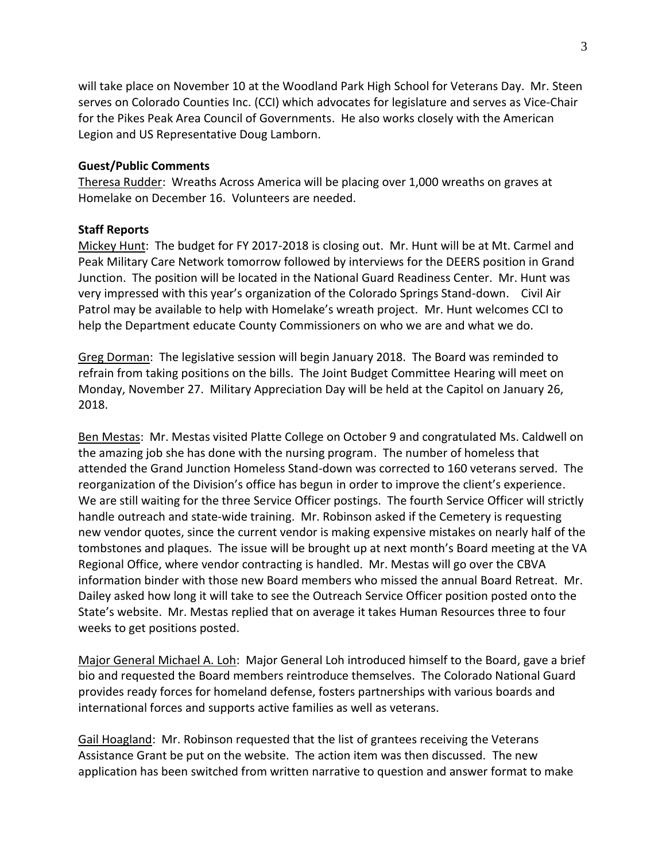will take place on November 10 at the Woodland Park High School for Veterans Day. Mr. Steen serves on Colorado Counties Inc. (CCI) which advocates for legislature and serves as Vice-Chair for the Pikes Peak Area Council of Governments. He also works closely with the American Legion and US Representative Doug Lamborn.

#### **Guest/Public Comments**

Theresa Rudder: Wreaths Across America will be placing over 1,000 wreaths on graves at Homelake on December 16. Volunteers are needed.

### **Staff Reports**

Mickey Hunt: The budget for FY 2017-2018 is closing out. Mr. Hunt will be at Mt. Carmel and Peak Military Care Network tomorrow followed by interviews for the DEERS position in Grand Junction. The position will be located in the National Guard Readiness Center. Mr. Hunt was very impressed with this year's organization of the Colorado Springs Stand-down. Civil Air Patrol may be available to help with Homelake's wreath project. Mr. Hunt welcomes CCI to help the Department educate County Commissioners on who we are and what we do.

Greg Dorman: The legislative session will begin January 2018. The Board was reminded to refrain from taking positions on the bills. The Joint Budget Committee Hearing will meet on Monday, November 27. Military Appreciation Day will be held at the Capitol on January 26, 2018.

Ben Mestas: Mr. Mestas visited Platte College on October 9 and congratulated Ms. Caldwell on the amazing job she has done with the nursing program. The number of homeless that attended the Grand Junction Homeless Stand-down was corrected to 160 veterans served. The reorganization of the Division's office has begun in order to improve the client's experience. We are still waiting for the three Service Officer postings. The fourth Service Officer will strictly handle outreach and state-wide training. Mr. Robinson asked if the Cemetery is requesting new vendor quotes, since the current vendor is making expensive mistakes on nearly half of the tombstones and plaques. The issue will be brought up at next month's Board meeting at the VA Regional Office, where vendor contracting is handled. Mr. Mestas will go over the CBVA information binder with those new Board members who missed the annual Board Retreat. Mr. Dailey asked how long it will take to see the Outreach Service Officer position posted onto the State's website. Mr. Mestas replied that on average it takes Human Resources three to four weeks to get positions posted.

Major General Michael A. Loh: Major General Loh introduced himself to the Board, gave a brief bio and requested the Board members reintroduce themselves. The Colorado National Guard provides ready forces for homeland defense, fosters partnerships with various boards and international forces and supports active families as well as veterans.

Gail Hoagland: Mr. Robinson requested that the list of grantees receiving the Veterans Assistance Grant be put on the website. The action item was then discussed. The new application has been switched from written narrative to question and answer format to make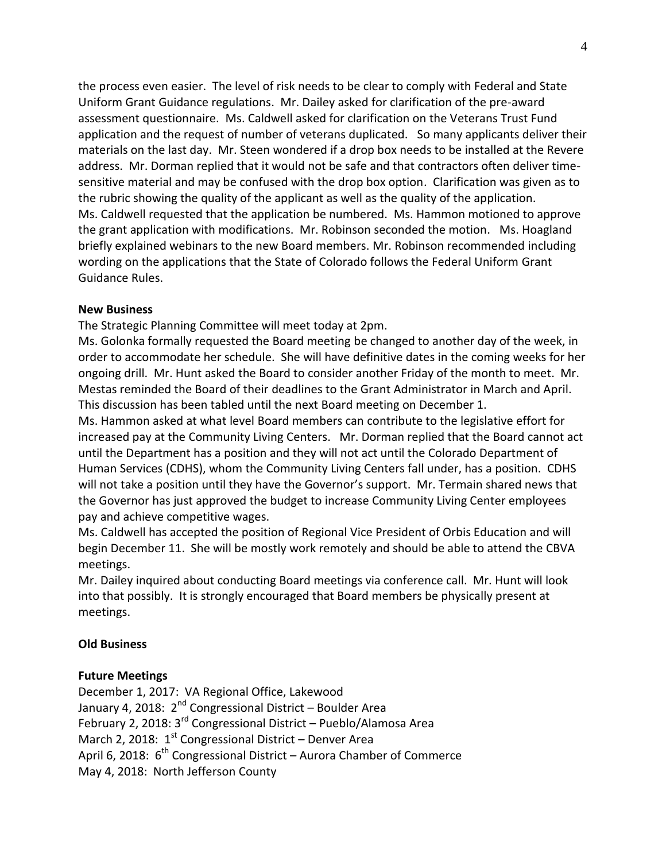the process even easier. The level of risk needs to be clear to comply with Federal and State Uniform Grant Guidance regulations. Mr. Dailey asked for clarification of the pre-award assessment questionnaire. Ms. Caldwell asked for clarification on the Veterans Trust Fund application and the request of number of veterans duplicated. So many applicants deliver their materials on the last day. Mr. Steen wondered if a drop box needs to be installed at the Revere address. Mr. Dorman replied that it would not be safe and that contractors often deliver timesensitive material and may be confused with the drop box option. Clarification was given as to the rubric showing the quality of the applicant as well as the quality of the application. Ms. Caldwell requested that the application be numbered. Ms. Hammon motioned to approve the grant application with modifications. Mr. Robinson seconded the motion. Ms. Hoagland briefly explained webinars to the new Board members. Mr. Robinson recommended including wording on the applications that the State of Colorado follows the Federal Uniform Grant Guidance Rules.

### **New Business**

The Strategic Planning Committee will meet today at 2pm.

Ms. Golonka formally requested the Board meeting be changed to another day of the week, in order to accommodate her schedule. She will have definitive dates in the coming weeks for her ongoing drill. Mr. Hunt asked the Board to consider another Friday of the month to meet. Mr. Mestas reminded the Board of their deadlines to the Grant Administrator in March and April. This discussion has been tabled until the next Board meeting on December 1.

Ms. Hammon asked at what level Board members can contribute to the legislative effort for increased pay at the Community Living Centers. Mr. Dorman replied that the Board cannot act until the Department has a position and they will not act until the Colorado Department of Human Services (CDHS), whom the Community Living Centers fall under, has a position. CDHS will not take a position until they have the Governor's support. Mr. Termain shared news that the Governor has just approved the budget to increase Community Living Center employees pay and achieve competitive wages.

Ms. Caldwell has accepted the position of Regional Vice President of Orbis Education and will begin December 11. She will be mostly work remotely and should be able to attend the CBVA meetings.

Mr. Dailey inquired about conducting Board meetings via conference call. Mr. Hunt will look into that possibly. It is strongly encouraged that Board members be physically present at meetings.

## **Old Business**

## **Future Meetings**

December 1, 2017: VA Regional Office, Lakewood January 4, 2018:  $2^{nd}$  Congressional District – Boulder Area February 2, 2018:  $3^{rd}$  Congressional District – Pueblo/Alamosa Area March 2, 2018:  $1<sup>st</sup>$  Congressional District – Denver Area April 6, 2018:  $6<sup>th</sup>$  Congressional District – Aurora Chamber of Commerce May 4, 2018: North Jefferson County